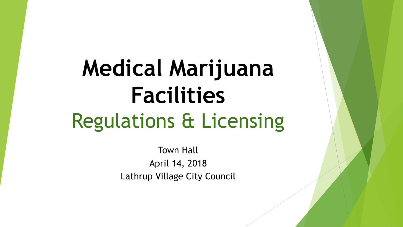# **Medical Marijuana Facilities**  Regulations & Licensing

Town Hall April 14, 2018 Lathrup Village City Council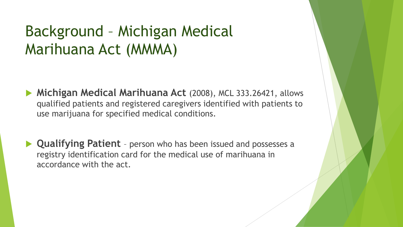#### Background – Michigan Medical Marihuana Act (MMMA)

- **Michigan Medical Marihuana Act** (2008), MCL 333.26421, allows qualified patients and registered caregivers identified with patients to use marijuana for specified medical conditions.
- **Qualifying Patient** person who has been issued and possesses a registry identification card for the medical use of marihuana in accordance with the act.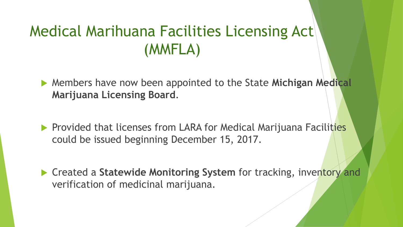#### Medical Marihuana Facilities Licensing Act (MMFLA)

 Members have now been appointed to the State **Michigan Medical Marijuana Licensing Board**.

- **Provided that licenses from LARA for Medical Marijuana Facilities** could be issued beginning December 15, 2017.
- ▶ Created a Statewide Monitoring System for tracking, inventory and verification of medicinal marijuana.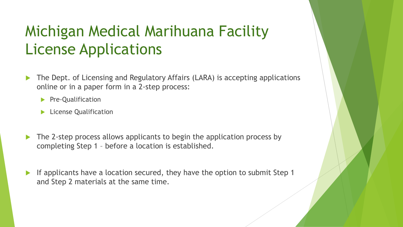#### Michigan Medical Marihuana Facility License Applications

- The Dept. of Licensing and Regulatory Affairs (LARA) is accepting applications online or in a paper form in a 2-step process:
	- Pre-Qualification
	- **License Qualification**
- The 2-step process allows applicants to begin the application process by completing Step 1 – before a location is established.
- If applicants have a location secured, they have the option to submit Step 1 and Step 2 materials at the same time.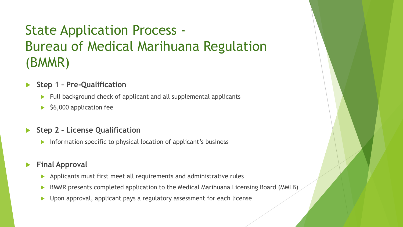#### State Application Process - Bureau of Medical Marihuana Regulation (BMMR)

- **Step 1 – Pre-Qualification**
	- Full background check of applicant and all supplemental applicants
	- $\blacktriangleright$  \$6,000 application fee
- **Step 2 – License Qualification**
	- Information specific to physical location of applicant's business

#### **Final Approval**

- Applicants must first meet all requirements and administrative rules
- BMMR presents completed application to the Medical Marihuana Licensing Board (MMLB)
- ▶ Upon approval, applicant pays a regulatory assessment for each license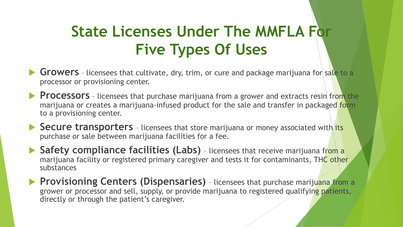#### **State Licenses Under The MMFLA For Five Types Of Uses**

- **Growers** licensees that cultivate, dry, trim, or cure and package marijuana for sale to a processor or provisioning center.
- **Processors** licensees that purchase marijuana from a grower and extracts resin from the marijuana or creates a marijuana-infused product for the sale and transfer in packaged form to a provisioning center.
- **► Secure transporters** licensees that store marijuana or money associated with its purchase or sale between marijuana facilities for a fee.
- ▶ Safety compliance facilities (Labs) licensees that receive marijuana from a marijuana facility or registered primary caregiver and tests it for contaminants, THC other substances
- **Provisioning Centers (Dispensaries)** licensees that purchase marijuana from a grower or processor and sell, supply, or provide marijuana to registered qualifying patients, directly or through the patient's caregiver.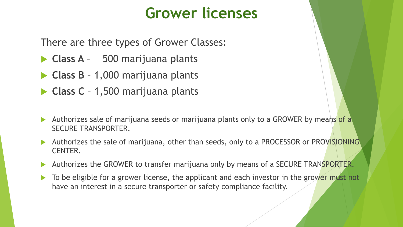#### **Grower licenses**

There are three types of Grower Classes:

- **Class A**  500 marijuana plants
- **Class B**  1,000 marijuana plants
- **Class C**  1,500 marijuana plants
- Authorizes sale of marijuana seeds or marijuana plants only to a GROWER by means of a SECURE TRANSPORTER.
- Authorizes the sale of marijuana, other than seeds, only to a PROCESSOR or PROVISIONING CENTER.
- Authorizes the GROWER to transfer marijuana only by means of a SECURE TRANSPORTER.
- To be eligible for a grower license, the applicant and each investor in the grower must not have an interest in a secure transporter or safety compliance facility.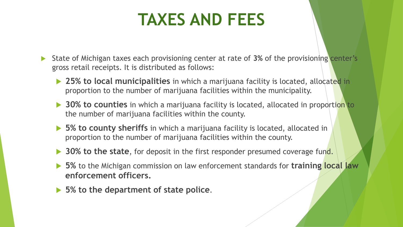#### **TAXES AND FEES**

 State of Michigan taxes each provisioning center at rate of **3%** of the provisioning center's gross retail receipts. It is distributed as follows:

- **25% to local municipalities** in which a marijuana facility is located, allocated in proportion to the number of marijuana facilities within the municipality.
- **30% to counties** in which a marijuana facility is located, allocated in proportion to the number of marijuana facilities within the county.
- ▶ 5% to county sheriffs in which a marijuana facility is located, allocated in proportion to the number of marijuana facilities within the county.
- **30% to the state**, for deposit in the first responder presumed coverage fund.
- **5%** to the Michigan commission on law enforcement standards for **training local law enforcement officers.**
- **5% to the department of state police**.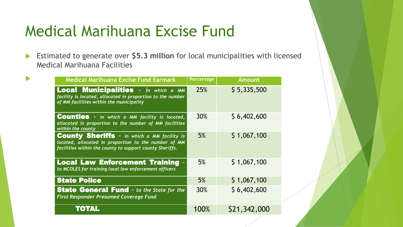#### Medical Marihuana Excise Fund

 Estimated to generate over **\$5.3 million** for local municipalities with licensed Medical Marihuana Facilities

|  | <b>Medical Marihuana Excise Fund Earmark</b>                                                                                                                           | Percentage | <b>Amount</b> |
|--|------------------------------------------------------------------------------------------------------------------------------------------------------------------------|------------|---------------|
|  | <b>Local Municipalities</b> - in which a MM<br>facility is located, allocated in proportion to the number<br>of MM facilities within the municipality                  | <b>25%</b> | \$5,335,500   |
|  | <b>Counties</b> - in which a MM facility is located,<br>allocated in proportion to the number of MM facilities<br>within the county                                    | <b>30%</b> | \$6,402,600   |
|  | <b>County Sheriffs</b> - in which a MM facility is<br>located, allocated in proportion to the number of MM<br>facilities within the county to support county Sheriffs. | 5%         | \$1,067,100   |
|  | <b>Local Law Enforcement Training -</b><br>to MCOLES for training local law enforcement officers                                                                       | 5%         | \$1,067,100   |
|  | <b>State Police</b>                                                                                                                                                    | 5%         | \$1,067,100   |
|  | <b>State General Fund</b> - to the State for the<br><b>First Responder Presumed Coverage Fund</b>                                                                      | 30%        | \$6,402,600   |
|  | <b>TOTAL</b>                                                                                                                                                           | 100%       | \$21,342,000  |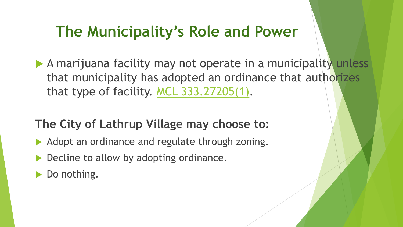#### **The Municipality's Role and Power**

A marijuana facility may not operate in a municipality unless that municipality has adopted an ordinance that authorizes that type of facility. [MCL 333.27205\(1\)](http://www.icle.org/modules/repositories/probatesourcebook/CiteCheck.aspx?cite=333-27205).

#### **The City of Lathrup Village may choose to:**

- Adopt an ordinance and regulate through zoning.
- Decline to allow by adopting ordinance.
- Do nothing.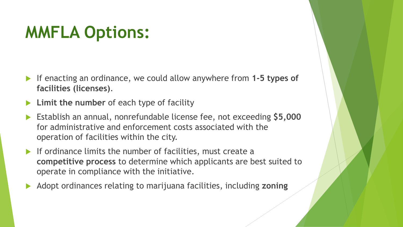#### **MMFLA Options:**

- If enacting an ordinance, we could allow anywhere from **1-5 types of facilities (licenses)**.
- **Limit the number** of each type of facility
- Establish an annual, nonrefundable license fee, not exceeding **\$5,000**  for administrative and enforcement costs associated with the operation of facilities within the city.
- If ordinance limits the number of facilities, must create a **competitive process** to determine which applicants are best suited to operate in compliance with the initiative.
- Adopt ordinances relating to marijuana facilities, including **zoning**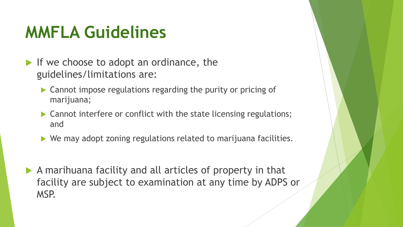### **MMFLA Guidelines**

- If we choose to adopt an ordinance, the guidelines/limitations are:
	- ▶ Cannot impose regulations regarding the purity or pricing of marijuana;
	- ▶ Cannot interfere or conflict with the state licensing regulations; and
	- ▶ We may adopt zoning regulations related to marijuana facilities.
- A marihuana facility and all articles of property in that facility are subject to examination at any time by ADPS or MSP.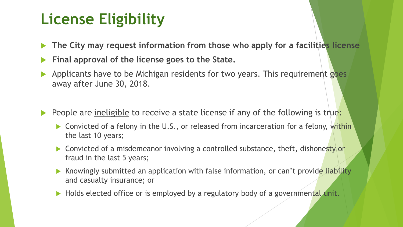#### **License Eligibility**

- **The City may request information from those who apply for a facilities license**
- **Final approval of the license goes to the State.**
- Applicants have to be Michigan residents for two years. This requirement goes away after June 30, 2018.
- People are ineligible to receive a state license if any of the following is true:
	- ▶ Convicted of a felony in the U.S., or released from incarceration for a felony, within the last 10 years;
	- Convicted of a misdemeanor involving a controlled substance, theft, dishonesty or fraud in the last 5 years;
	- Knowingly submitted an application with false information, or can't provide liability and casualty insurance; or
	- Holds elected office or is employed by a regulatory body of a governmental unit.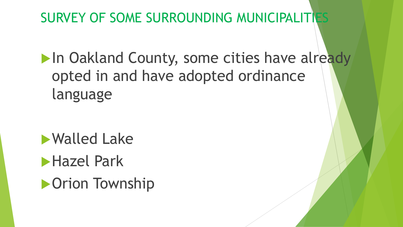#### SURVEY OF SOME SURROUNDING MUNICIPALITIES

In Oakland County, some cities have already opted in and have adopted ordinance language

Walled Lake **Hazel Park Drion Township**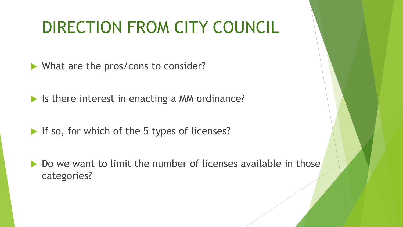## DIRECTION FROM CITY COUNCIL

What are the pros/cons to consider?

In Is there interest in enacting a MM ordinance?

- If so, for which of the 5 types of licenses?
- ▶ Do we want to limit the number of licenses available in those categories?